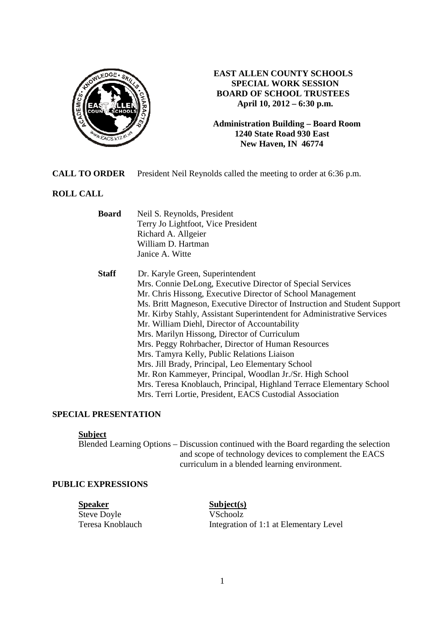

## **EAST ALLEN COUNTY SCHOOLS SPECIAL WORK SESSION BOARD OF SCHOOL TRUSTEES April 10, 2012 – 6:30 p.m.**

**Administration Building – Board Room 1240 State Road 930 East New Haven, IN 46774**

**CALL TO ORDER** President Neil Reynolds called the meeting to order at 6:36 p.m.

# **ROLL CALL**

| <b>Board</b> | Neil S. Reynolds, President                                               |
|--------------|---------------------------------------------------------------------------|
|              | Terry Jo Lightfoot, Vice President                                        |
|              | Richard A. Allgeier                                                       |
|              | William D. Hartman                                                        |
|              | Janice A. Witte                                                           |
| <b>Staff</b> | Dr. Karyle Green, Superintendent                                          |
|              | Mrs. Connie DeLong, Executive Director of Special Services                |
|              | Mr. Chris Hissong, Executive Director of School Management                |
|              | Ms. Britt Magneson, Executive Director of Instruction and Student Support |
|              | Mr. Kirby Stahly, Assistant Superintendent for Administrative Services    |
|              | Mr. William Diehl, Director of Accountability                             |
|              | Mrs. Marilyn Hissong, Director of Curriculum                              |
|              | Mrs. Peggy Rohrbacher, Director of Human Resources                        |
|              | Mrs. Tamyra Kelly, Public Relations Liaison                               |
|              | Mrs. Jill Brady, Principal, Leo Elementary School                         |
|              | Mr. Ron Kammeyer, Principal, Woodlan Jr./Sr. High School                  |
|              | Mrs. Teresa Knoblauch, Principal, Highland Terrace Elementary School      |
|              | Mrs. Terri Lortie, President, EACS Custodial Association                  |

## **SPECIAL PRESENTATION**

#### **Subject**

Blended Learning Options – Discussion continued with the Board regarding the selection and scope of technology devices to complement the EACS curriculum in a blended learning environment.

## **PUBLIC EXPRESSIONS**

**Speaker**<br>Steve Doyle<br>Steve Doyle<br>Schoolz Steve Doyle

Teresa Knoblauch Integration of 1:1 at Elementary Level